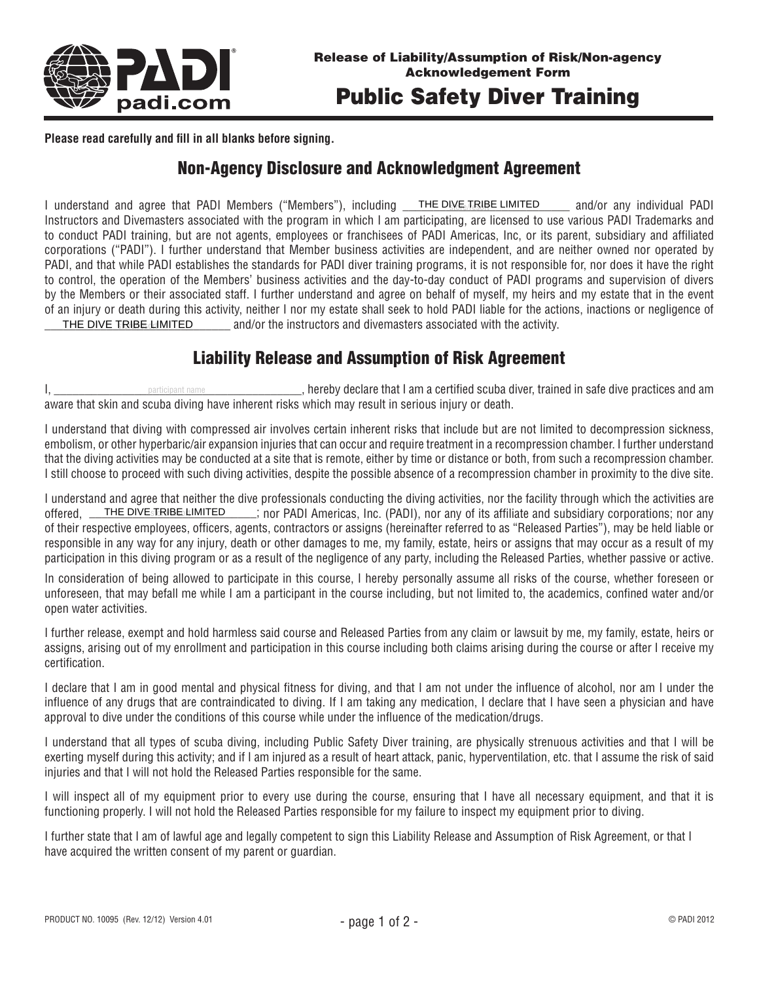

**Please read carefully and fill in all blanks before signing.**

## Non-Agency Disclosure and Acknowledgment Agreement

I understand and agree that PADI Members ("Members"), including THE DIVE TRIBE LIMITED and/or any individual PADI Instructors and Divemasters associated with the program in which I am participating, are licensed to use various PADI Trademarks and to conduct PADI training, but are not agents, employees or franchisees of PADI Americas, Inc, or its parent, subsidiary and affiliated corporations ("PADI"). I further understand that Member business activities are independent, and are neither owned nor operated by PADI, and that while PADI establishes the standards for PADI diver training programs, it is not responsible for, nor does it have the right to control, the operation of the Members' business activities and the day-to-day conduct of PADI programs and supervision of divers by the Members or their associated staff. I further understand and agree on behalf of myself, my heirs and my estate that in the event of an injury or death during this activity, neither I nor my estate shall seek to hold PADI liable for the actions, inactions or negligence of **THE DIVE TRIBE LIMITED** and/or the instructors and divemasters associated with the activity. THE DIVE TRIBE LIMITED

## Liability Release and Assumption of Risk Agreement

I, \_\_\_\_\_\_\_\_\_\_\_\_\_\_\_\_\_\_\_\_\_\_\_\_\_\_\_\_\_\_\_\_\_\_\_\_\_\_\_\_, hereby declare that I am a certified scuba diver, trained in safe dive practices and am aware that skin and scuba diving have inherent risks which may result in serious injury or death. participant name

I understand that diving with compressed air involves certain inherent risks that include but are not limited to decompression sickness, embolism, or other hyperbaric/air expansion injuries that can occur and require treatment in a recompression chamber. I further understand that the diving activities may be conducted at a site that is remote, either by time or distance or both, from such a recompression chamber. I still choose to proceed with such diving activities, despite the possible absence of a recompression chamber in proximity to the dive site.

I understand and agree that neither the dive professionals conducting the diving activities, nor the facility through which the activities are offered, <u>THE DIVEsTRIBE LIMITED . Sain</u> nor PADI Americas, Inc. (PADI), nor any of its affiliate and subsidiary corporations; nor any of their respective employees, officers, agents, contractors or assigns (hereinafter referred to as "Released Parties"), may be held liable or responsible in any way for any injury, death or other damages to me, my family, estate, heirs or assigns that may occur as a result of my participation in this diving program or as a result of the negligence of any party, including the Released Parties, whether passive or active.

In consideration of being allowed to participate in this course, I hereby personally assume all risks of the course, whether foreseen or unforeseen, that may befall me while I am a participant in the course including, but not limited to, the academics, confined water and/or open water activities.

I further release, exempt and hold harmless said course and Released Parties from any claim or lawsuit by me, my family, estate, heirs or assigns, arising out of my enrollment and participation in this course including both claims arising during the course or after I receive my certification.

I declare that I am in good mental and physical fitness for diving, and that I am not under the influence of alcohol, nor am I under the influence of any drugs that are contraindicated to diving. If I am taking any medication, I declare that I have seen a physician and have approval to dive under the conditions of this course while under the influence of the medication/drugs.

I understand that all types of scuba diving, including Public Safety Diver training, are physically strenuous activities and that I will be exerting myself during this activity; and if I am injured as a result of heart attack, panic, hyperventilation, etc. that I assume the risk of said injuries and that I will not hold the Released Parties responsible for the same.

I will inspect all of my equipment prior to every use during the course, ensuring that I have all necessary equipment, and that it is functioning properly. I will not hold the Released Parties responsible for my failure to inspect my equipment prior to diving.

I further state that I am of lawful age and legally competent to sign this Liability Release and Assumption of Risk Agreement, or that I have acquired the written consent of my parent or guardian.